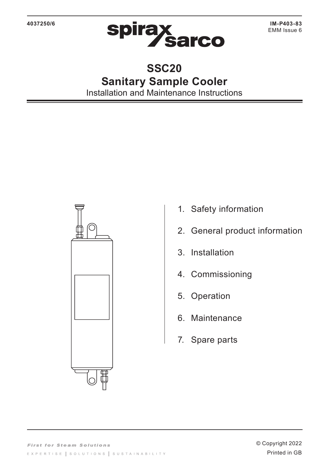

### **SSC20**

### **Sanitary Sample Cooler**

Installation and Maintenance Instructions



- 1. Safety information
- 2. General product information
- 3. Installation
- 4. Commissioning
- 5. Operation
- 6. Maintenance
- 7. Spare parts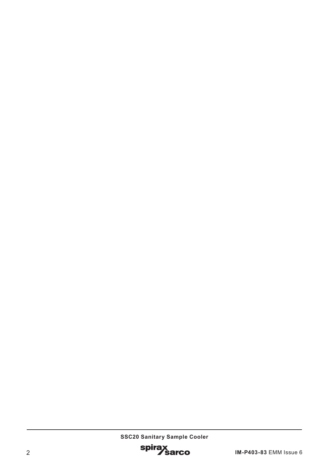

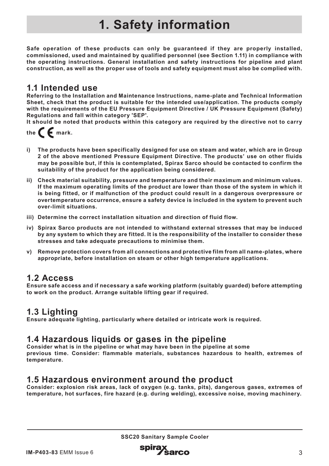# **1. Safety information**

**Safe operation of these products can only be guaranteed if they are properly installed, commissioned, used and maintained by qualified personnel (see Section 1.11) in compliance with the operating instructions. General installation and safety instructions for pipeline and plant construction, as well as the proper use of tools and safety equipment must also be complied with.**

#### **1.1 Intended use**

**Referring to the Installation and Maintenance Instructions, name-plate and Technical Information Sheet, check that the product is suitable for the intended use/application. The products comply with the requirements of the EU Pressure Equipment Directive / UK Pressure Equipment (Safety) Regulations and fall within category 'SEP'.** 

**It should be noted that products within this category are required by the directive not to carry** 



- **i) The products have been specifically designed for use on steam and water, which are in Group 2 of the above mentioned Pressure Equipment Directive. The products' use on other fluids may be possible but, if this is contemplated, Spirax Sarco should be contacted to confirm the suitability of the product for the application being considered.**
- **ii) Check material suitability, pressure and temperature and their maximum and minimum values. If the maximum operating limits of the product are lower than those of the system in which it is being fitted, or if malfunction of the product could result in a dangerous overpressure or overtemperature occurrence, ensure a safety device is included in the system to prevent such over-limit situations.**
- **iii) Determine the correct installation situation and direction of fluid flow.**
- **iv) Spirax Sarco products are not intended to withstand external stresses that may be induced by any system to which they are fitted. It is the responsibility of the installer to consider these stresses and take adequate precautions to minimise them.**
- **v) Remove protection covers from all connections and protective film from all name-plates, where appropriate, before installation on steam or other high temperature applications.**

#### **1.2 Access**

**Ensure safe access and if necessary a safe working platform (suitably guarded) before attempting to work on the product. Arrange suitable lifting gear if required.**

#### **1.3 Lighting**

**Ensure adequate lighting, particularly where detailed or intricate work is required.**

#### **1.4 Hazardous liquids or gases in the pipeline**

**Consider what is in the pipeline or what may have been in the pipeline at some previous time. Consider: flammable materials, substances hazardous to health, extremes of temperature.**

#### **1.5 Hazardous environment around the product**

**Consider: explosion risk areas, lack of oxygen (e.g. tanks, pits), dangerous gases, extremes of temperature, hot surfaces, fire hazard (e.g. during welding), excessive noise, moving machinery.**

**SSC20 Sanitary Sample Cooler**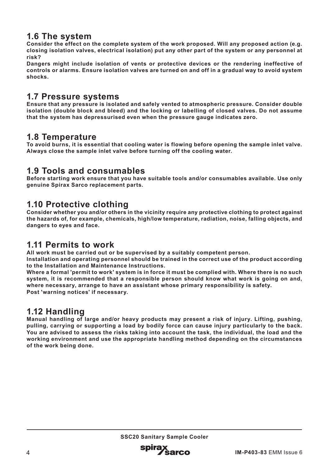### **1.6 The system**

**Consider the effect on the complete system of the work proposed. Will any proposed action (e.g. closing isolation valves, electrical isolation) put any other part of the system or any personnel at risk?** 

**Dangers might include isolation of vents or protective devices or the rendering ineffective of controls or alarms. Ensure isolation valves are turned on and off in a gradual way to avoid system shocks.**

#### **1.7 Pressure systems**

**Ensure that any pressure is isolated and safely vented to atmospheric pressure. Consider double isolation (double block and bleed) and the locking or labelling of closed valves. Do not assume that the system has depressurised even when the pressure gauge indicates zero.**

#### **1.8 Temperature**

**To avoid burns, it is essential that cooling water is flowing before opening the sample inlet valve. Always close the sample inlet valve before turning off the cooling water.**

### **1.9 Tools and consumables**

**Before starting work ensure that you have suitable tools and/or consumables available. Use only genuine Spirax Sarco replacement parts.**

#### **1.10 Protective clothing**

**Consider whether you and/or others in the vicinity require any protective clothing to protect against the hazards of, for example, chemicals, high/low temperature, radiation, noise, falling objects, and dangers to eyes and face.**

#### **1.11 Permits to work**

**All work must be carried out or be supervised by a suitably competent person.**

**Installation and operating personnel should be trained in the correct use of the product according to the Installation and Maintenance Instructions.**

**Where a formal 'permit to work' system is in force it must be complied with. Where there is no such system, it is recommended that a responsible person should know what work is going on and, where necessary, arrange to have an assistant whose primary responsibility is safety. Post 'warning notices' if necessary.**

#### **1.12 Handling**

**Manual handling of large and/or heavy products may present a risk of injury. Lifting, pushing, pulling, carrying or supporting a load by bodily force can cause injury particularly to the back. You are advised to assess the risks taking into account the task, the individual, the load and the working environment and use the appropriate handling method depending on the circumstances of the work being done.**



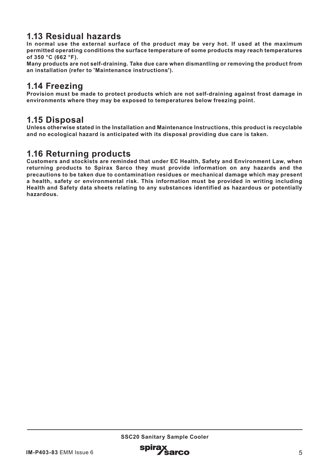### **1.13 Residual hazards**

**In normal use the external surface of the product may be very hot. If used at the maximum permitted operating conditions the surface temperature of some products may reach temperatures of 350 °C (662 °F).**

**Many products are not self-draining. Take due care when dismantling or removing the product from an installation (refer to 'Maintenance instructions').**

#### **1.14 Freezing**

**Provision must be made to protect products which are not self-draining against frost damage in environments where they may be exposed to temperatures below freezing point.**

#### **1.15 Disposal**

**Unless otherwise stated in the Installation and Maintenance Instructions, this product is recyclable and no ecological hazard is anticipated with its disposal providing due care is taken.**

#### **1.16 Returning products**

**Customers and stockists are reminded that under EC Health, Safety and Environment Law, when returning products to Spirax Sarco they must provide information on any hazards and the precautions to be taken due to contamination residues or mechanical damage which may present a health, safety or environmental risk. This information must be provided in writing including Health and Safety data sheets relating to any substances identified as hazardous or potentially hazardous.**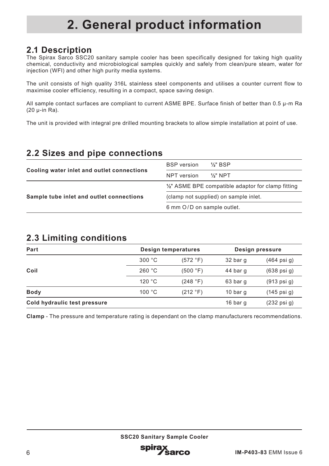## **2. General product information**

#### **2.1 Description**

The Spirax Sarco SSC20 sanitary sample cooler has been specifically designed for taking high quality chemical, conductivity and microbiological samples quickly and safely from clean/pure steam, water for injection (WFI) and other high purity media systems.

The unit consists of high quality 316L stainless steel components and utilises a counter current flow to maximise cooler efficiency, resulting in a compact, space saving design.

All sample contact surfaces are compliant to current ASME BPE. Surface finish of better than 0.5 µ-m Ra (20 µ-in Ra).

The unit is provided with integral pre drilled mounting brackets to allow simple installation at point of use.

### **2.2 Sizes and pipe connections**

| Cooling water inlet and outlet connections | <b>BSP</b> version<br>$\frac{1}{3}$ " BSP          |  |  |
|--------------------------------------------|----------------------------------------------------|--|--|
|                                            | NPT version<br>$\frac{1}{3}$ " NPT                 |  |  |
| Sample tube inlet and outlet connections   | 1/2" ASME BPE compatible adaptor for clamp fitting |  |  |
|                                            | (clamp not supplied) on sample inlet.              |  |  |
|                                            | 6 mm O/D on sample outlet.                         |  |  |

#### **2.3 Limiting conditions**

| Part                         | Design temperatures |          | Design pressure |                        |
|------------------------------|---------------------|----------|-----------------|------------------------|
|                              | 300 °C              | (572 °F) | 32 bar q        | $(464 \text{ psi g})$  |
| Coil                         | 260 °C              | (500 °F) | 44 bar q        | $(638 \text{ psi g})$  |
|                              | 120 °C              | (248 °F) | 63 bar q        | $(913 \text{ psi g})$  |
| Body                         | 100 °C              | (212 °F) | 10 bar q        | $(145 \text{ psi g})$  |
| Cold hydraulic test pressure |                     |          | 16 bar q        | $(232 \text{ psi } q)$ |

**Clamp** - The pressure and temperature rating is dependant on the clamp manufacturers recommendations.

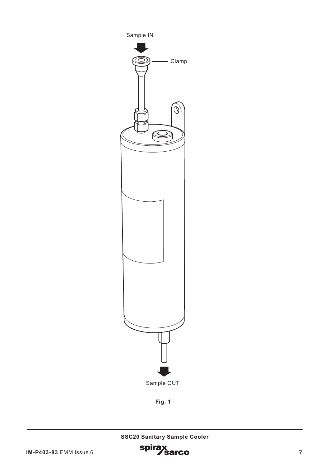

**Fig. 1**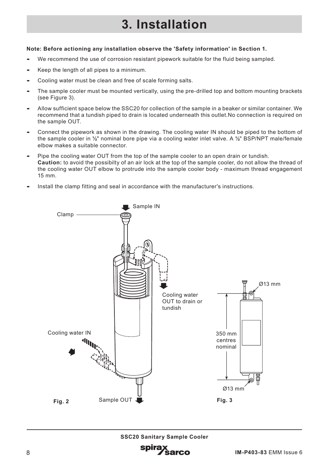# **3. Installation**

#### **Note: Before actioning any installation observe the 'Safety information' in Section 1.**

- **-** We recommend the use of corrosion resistant pipework suitable for the fluid being sampled.
- **-** Keep the length of all pipes to a minimum.
- **-** Cooling water must be clean and free of scale forming salts.
- **-** The sample cooler must be mounted vertically, using the pre-drilled top and bottom mounting brackets (see Figure 3).
- **-** Allow sufficient space below the SSC20 for collection of the sample in a beaker or similar container. We recommend that a tundish piped to drain is located underneath this outlet.No connection is required on the sample OUT.
- **-** Connect the pipework as shown in the drawing. The cooling water IN should be piped to the bottom of the sample cooler in **½**" nominal bore pipe via a cooling water inlet valve. A **½**" BSP/NPT male/female elbow makes a suitable connector.
- **-** Pipe the cooling water OUT from the top of the sample cooler to an open drain or tundish. **Caution:** to avoid the possibilty of an air lock at the top of the sample cooler, do not allow the thread of the cooling water OUT elbow to protrude into the sample cooler body - maximum thread engagement 15 mm.
- **-** Install the clamp fitting and seal in accordance with the manufacturer's instructions.



spira

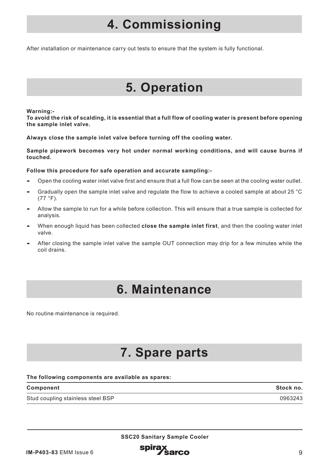## **4. Commissioning**

After installation or maintenance carry out tests to ensure that the system is fully functional.

## **5. Operation**

**Warning:-**

**To avoid the risk of scalding, it is essential that a full flow of cooling water is present before opening the sample inlet valve.**

**Always close the sample inlet valve before turning off the cooling water.**

**Sample pipework becomes very hot under normal working conditions, and will cause burns if touched.**

#### **Follow this procedure for safe operation and accurate sampling:-**

- **-** Open the cooling water inlet valve first and ensure that a full flow can be seen at the cooling water outlet.
- **-** Gradually open the sample inlet valve and regulate the flow to achieve a cooled sample at about 25 °C  $(77 °F)$ .
- **-** Allow the sample to run for a while before collection. This will ensure that a true sample is collected for analysis.
- **-** When enough liquid has been collected **close the sample inlet first**, and then the cooling water inlet valve.
- **-** After closing the sample inlet valve the sample OUT connection may drip for a few minutes while the coil drains.

## **6. Maintenance**

No routine maintenance is required.

## **7. Spare parts**

#### **The following components are available as spares:**

| Component                         | Stock no. |
|-----------------------------------|-----------|
| Stud coupling stainless steel BSP | 0963243   |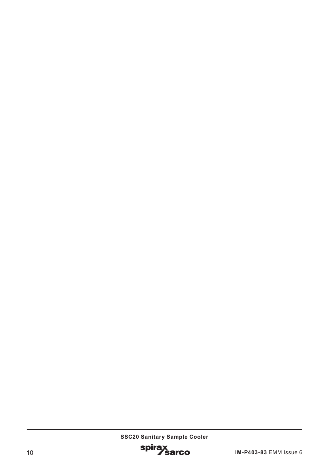